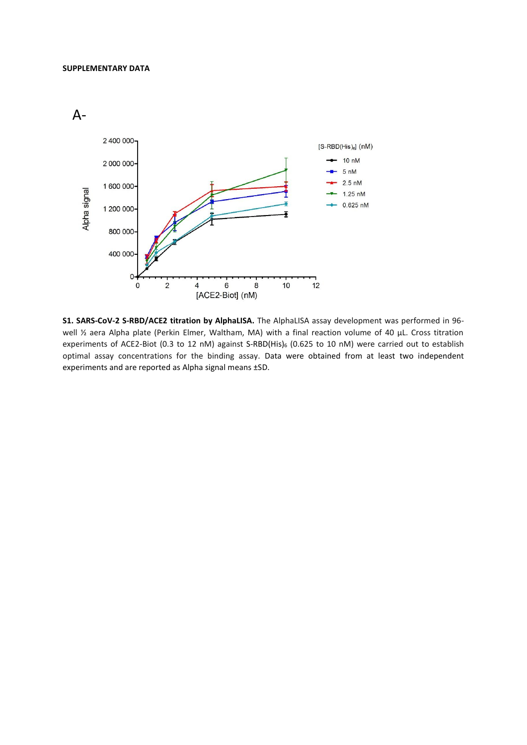



**S1. SARS-CoV-2 S-RBD/ACE2 titration by AlphaLISA.** The AlphaLISA assay development was performed in 96 well 1/2 aera Alpha plate (Perkin Elmer, Waltham, MA) with a final reaction volume of 40 µL. Cross titration experiments of ACE2-Biot (0.3 to 12 nM) against S-RBD(His)<sub>6</sub> (0.625 to 10 nM) were carried out to establish optimal assay concentrations for the binding assay. Data were obtained from at least two independent experiments and are reported as Alpha signal means ±SD.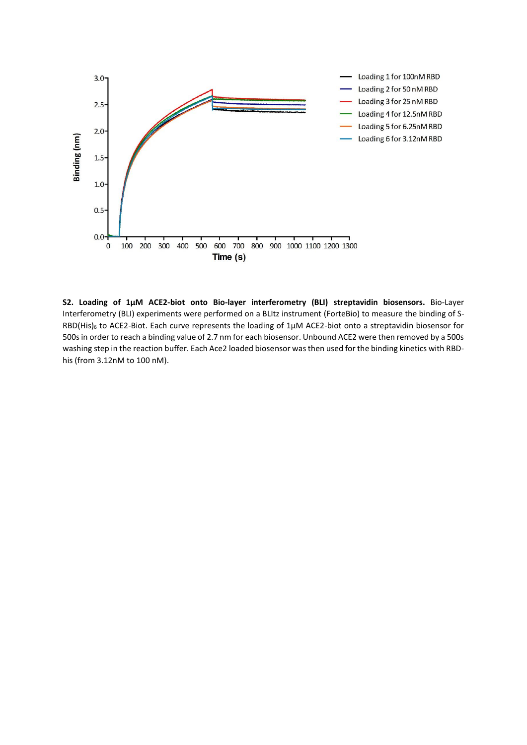

**S2. Loading of 1µM ACE2-biot onto Bio-layer interferometry (BLI) streptavidin biosensors.** Bio-Layer Interferometry (BLI) experiments were performed on a BLItz instrument (ForteBio) to measure the binding of S-RBD(His)<sub>6</sub> to ACE2-Biot. Each curve represents the loading of 1µM ACE2-biot onto a streptavidin biosensor for 500s in order to reach a binding value of 2.7 nm for each biosensor. Unbound ACE2 were then removed by a 500s washing step in the reaction buffer. Each Ace2 loaded biosensor was then used for the binding kinetics with RBDhis (from 3.12nM to 100 nM).